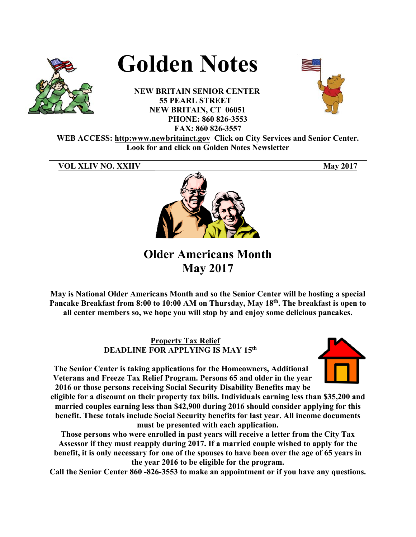

# **Golden Notes**

**NEW BRITAIN SENIOR CENTER 55 PEARL STREET NEW BRITAIN, CT 06051 PHONE: 860 826-3553 FAX: 860 826-3557** 



**WEB ACCESS: http:www.newbritainct.gov Click on City Services and Senior Center. Look for and click on Golden Notes Newsletter** 

**\_\_\_\_\_\_\_\_\_\_\_\_\_\_\_\_\_\_\_\_\_\_\_\_\_\_\_\_\_\_\_\_\_\_\_\_\_\_\_\_\_\_\_\_\_\_\_\_\_\_\_\_\_\_\_\_\_\_\_\_\_\_\_\_\_\_\_\_\_\_\_\_\_\_\_\_\_\_** 

# **VOL XLIV NO. XXIIV May 2017**



**Older Americans Month May 2017** 

**May is National Older Americans Month and so the Senior Center will be hosting a special Pancake Breakfast from 8:00 to 10:00 AM on Thursday, May 18th. The breakfast is open to all center members so, we hope you will stop by and enjoy some delicious pancakes.** 

> **Property Tax Relief DEADLINE FOR APPLYING IS MAY 15th**

**The Senior Center is taking applications for the Homeowners, Additional Veterans and Freeze Tax Relief Program. Persons 65 and older in the year 2016 or those persons receiving Social Security Disability Benefits may be** 

**eligible for a discount on their property tax bills. Individuals earning less than \$35,200 and married couples earning less than \$42,900 during 2016 should consider applying for this benefit. These totals include Social Security benefits for last year. All income documents must be presented with each application.** 

**Those persons who were enrolled in past years will receive a letter from the City Tax Assessor if they must reapply during 2017. If a married couple wished to apply for the benefit, it is only necessary for one of the spouses to have been over the age of 65 years in the year 2016 to be eligible for the program.** 

**Call the Senior Center 860 -826-3553 to make an appointment or if you have any questions.**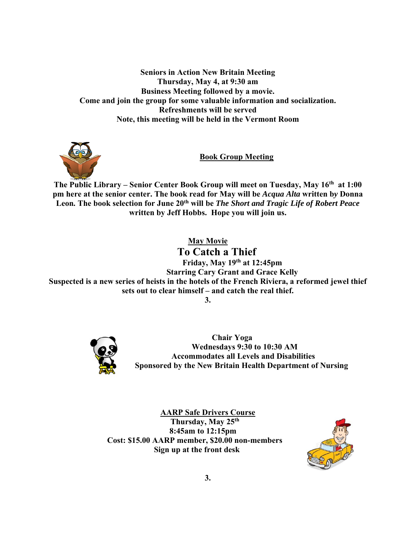**Seniors in Action New Britain Meeting Thursday, May 4, at 9:30 am Business Meeting followed by a movie. Come and join the group for some valuable information and socialization. Refreshments will be served Note, this meeting will be held in the Vermont Room** 



**Book Group Meeting** 

The Public Library – Senior Center Book Group will meet on Tuesday, May 16<sup>th</sup> at 1:00 **pm here at the senior center. The book read for May will be** *Acqua Alta* **written b***y* **Donna Leon***.* **The book selection for June 20th will be** *The Short and Tragic Life of Robert Peace*  **written by Jeff Hobbs. Hope you will join us.** 

**May Movie** 

 **To Catch a Thief Friday, May 19th at 12:45pm Starring Cary Grant and Grace Kelly Suspected is a new series of heists in the hotels of the French Riviera, a reformed jewel thief sets out to clear himself – and catch the real thief.** 





 **Chair Yoga Wednesdays 9:30 to 10:30 AM Accommodates all Levels and Disabilities Sponsored by the New Britain Health Department of Nursing** 

**AARP Safe Drivers Course Thursday, May 25th 8:45am to 12:15pm Cost: \$15.00 AARP member, \$20.00 non-members Sign up at the front desk** 

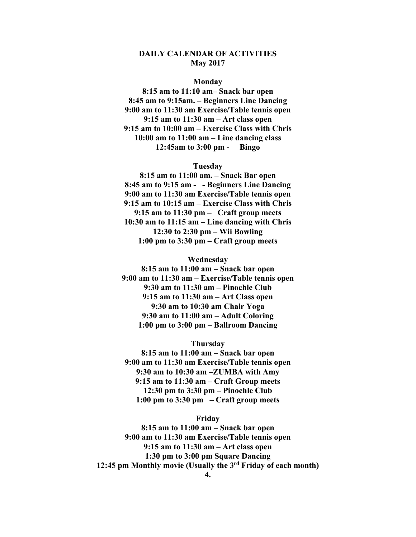## **DAILY CALENDAR OF ACTIVITIES May 2017**

#### **Monday**

**8:15 am to 11:10 am– Snack bar open 8:45 am to 9:15am. – Beginners Line Dancing 9:00 am to 11:30 am Exercise/Table tennis open 9:15 am to 11:30 am – Art class open 9:15 am to 10:00 am – Exercise Class with Chris 10:00 am to 11:00 am – Line dancing class 12:45am to 3:00 pm - Bingo** 

#### **Tuesday**

**8:15 am to 11:00 am. – Snack Bar open 8:45 am to 9:15 am - - Beginners Line Dancing 9:00 am to 11:30 am Exercise/Table tennis open 9:15 am to 10:15 am – Exercise Class with Chris 9:15 am to 11:30 pm – Craft group meets 10:30 am to 11:15 am – Line dancing with Chris 12:30 to 2:30 pm – Wii Bowling 1:00 pm to 3:30 pm – Craft group meets** 

#### **Wednesday**

**8:15 am to 11:00 am – Snack bar open 9:00 am to 11:30 am – Exercise/Table tennis open 9:30 am to 11:30 am – Pinochle Club 9:15 am to 11:30 am – Art Class open 9:30 am to 10:30 am Chair Yoga 9:30 am to 11:00 am – Adult Coloring 1:00 pm to 3:00 pm – Ballroom Dancing** 

#### **Thursday**

**8:15 am to 11:00 am – Snack bar open 9:00 am to 11:30 am Exercise/Table tennis open 9:30 am to 10:30 am –ZUMBA with Amy 9:15 am to 11:30 am – Craft Group meets 12:30 pm to 3:30 pm – Pinochle Club 1:00 pm to 3:30 pm – Craft group meets** 

#### **Friday**

**8:15 am to 11:00 am – Snack bar open 9:00 am to 11:30 am Exercise/Table tennis open 9:15 am to 11:30 am – Art class open 1:30 pm to 3:00 pm Square Dancing 12:45 pm Monthly movie (Usually the 3rd Friday of each month)**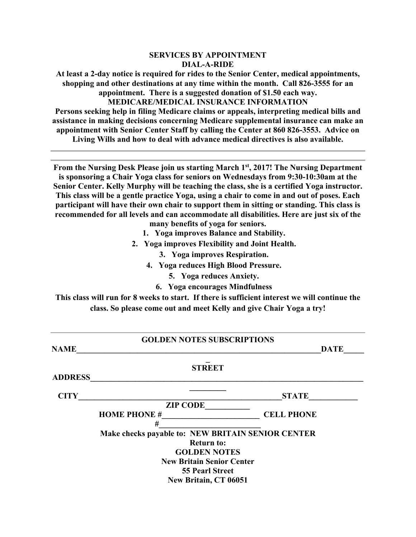### **SERVICES BY APPOINTMENT DIAL-A-RIDE**

**At least a 2-day notice is required for rides to the Senior Center, medical appointments, shopping and other destinations at any time within the month. Call 826-3555 for an appointment. There is a suggested donation of \$1.50 each way. MEDICARE/MEDICAL INSURANCE INFORMATION** 

**Persons seeking help in filing Medicare claims or appeals, interpreting medical bills and assistance in making decisions concerning Medicare supplemental insurance can make an appointment with Senior Center Staff by calling the Center at 860 826-3553. Advice on Living Wills and how to deal with advance medical directives is also available.** 

From the Nursing Desk Please join us starting March 1<sup>st</sup>, 2017! The Nursing Department **is sponsoring a Chair Yoga class for seniors on Wednesdays from 9:30-10:30am at the Senior Center. Kelly Murphy will be teaching the class, she is a certified Yoga instructor. This class will be a gentle practice Yoga, using a chair to come in and out of poses. Each participant will have their own chair to support them in sitting or standing. This class is recommended for all levels and can accommodate all disabilities. Here are just six of the** 

- **many benefits of yoga for seniors.**
- **1. Yoga improves Balance and Stability.**
- **2. Yoga improves Flexibility and Joint Health.** 
	- **3. Yoga improves Respiration.**
	- **4. Yoga reduces High Blood Pressure.** 
		- **5. Yoga reduces Anxiety.**
		- **6. Yoga encourages Mindfulness**

**This class will run for 8 weeks to start. If there is sufficient interest we will continue the class. So please come out and meet Kelly and give Chair Yoga a try!** 

| <b>GOLDEN NOTES SUBSCRIPTIONS</b> |                                                   |                   |  |  |  |  |  |  |
|-----------------------------------|---------------------------------------------------|-------------------|--|--|--|--|--|--|
| <b>NAME</b>                       |                                                   | <b>DATE</b>       |  |  |  |  |  |  |
|                                   | <b>STREET</b>                                     |                   |  |  |  |  |  |  |
| <b>ADDRESS</b>                    |                                                   |                   |  |  |  |  |  |  |
| <b>CITY</b>                       |                                                   | <b>STATE</b>      |  |  |  |  |  |  |
|                                   | <b>ZIP CODE</b>                                   |                   |  |  |  |  |  |  |
|                                   | <b>HOME PHONE #</b>                               | <b>CELL PHONE</b> |  |  |  |  |  |  |
|                                   | #                                                 |                   |  |  |  |  |  |  |
|                                   | Make checks payable to: NEW BRITAIN SENIOR CENTER |                   |  |  |  |  |  |  |
| <b>Return to:</b>                 |                                                   |                   |  |  |  |  |  |  |
|                                   | <b>GOLDEN NOTES</b>                               |                   |  |  |  |  |  |  |
|                                   | <b>New Britain Senior Center</b>                  |                   |  |  |  |  |  |  |
|                                   | <b>55 Pearl Street</b>                            |                   |  |  |  |  |  |  |
|                                   | New Britain, CT 06051                             |                   |  |  |  |  |  |  |